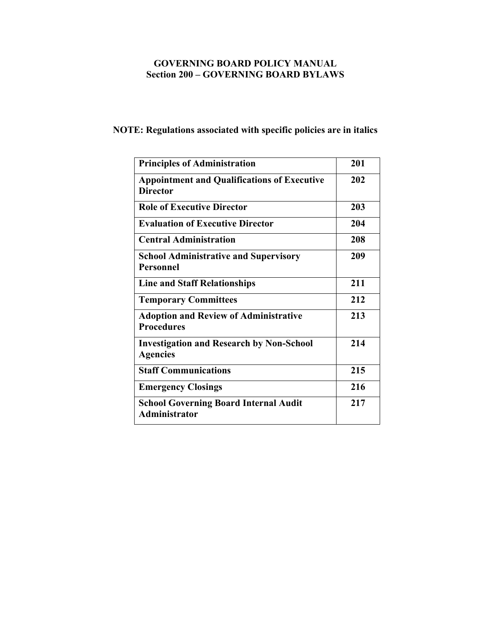## **GOVERNING BOARD POLICY MANUAL Section 200 – GOVERNING BOARD BYLAWS**

# **NOTE: Regulations associated with specific policies are in italics**

| <b>Principles of Administration</b>                                   | 201 |
|-----------------------------------------------------------------------|-----|
| <b>Appointment and Qualifications of Executive</b><br><b>Director</b> | 202 |
| <b>Role of Executive Director</b>                                     | 203 |
| <b>Evaluation of Executive Director</b>                               | 204 |
| <b>Central Administration</b>                                         | 208 |
| <b>School Administrative and Supervisory</b><br><b>Personnel</b>      | 209 |
| <b>Line and Staff Relationships</b>                                   | 211 |
| <b>Temporary Committees</b>                                           | 212 |
| <b>Adoption and Review of Administrative</b><br><b>Procedures</b>     | 213 |
| <b>Investigation and Research by Non-School</b><br><b>Agencies</b>    | 214 |
| <b>Staff Communications</b>                                           | 215 |
| <b>Emergency Closings</b>                                             | 216 |
| <b>School Governing Board Internal Audit</b><br><b>Administrator</b>  | 217 |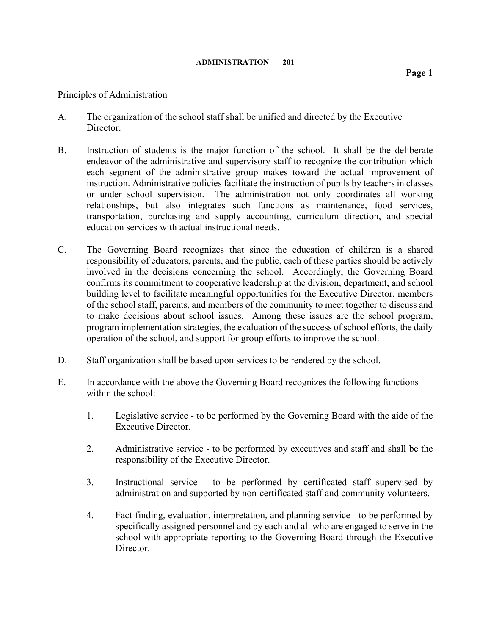## Principles of Administration

- A. The organization of the school staff shall be unified and directed by the Executive Director.
- B. Instruction of students is the major function of the school. It shall be the deliberate endeavor of the administrative and supervisory staff to recognize the contribution which each segment of the administrative group makes toward the actual improvement of instruction. Administrative policies facilitate the instruction of pupils by teachers in classes or under school supervision. The administration not only coordinates all working relationships, but also integrates such functions as maintenance, food services, transportation, purchasing and supply accounting, curriculum direction, and special education services with actual instructional needs.
- C. The Governing Board recognizes that since the education of children is a shared responsibility of educators, parents, and the public, each of these parties should be actively involved in the decisions concerning the school. Accordingly, the Governing Board confirms its commitment to cooperative leadership at the division, department, and school building level to facilitate meaningful opportunities for the Executive Director, members of the school staff, parents, and members of the community to meet together to discuss and to make decisions about school issues. Among these issues are the school program, program implementation strategies, the evaluation of the success of school efforts, the daily operation of the school, and support for group efforts to improve the school.
- D. Staff organization shall be based upon services to be rendered by the school.
- E. In accordance with the above the Governing Board recognizes the following functions within the school:
	- 1. Legislative service to be performed by the Governing Board with the aide of the Executive Director.
	- 2. Administrative service to be performed by executives and staff and shall be the responsibility of the Executive Director.
	- 3. Instructional service to be performed by certificated staff supervised by administration and supported by non-certificated staff and community volunteers.
	- 4. Fact-finding, evaluation, interpretation, and planning service to be performed by specifically assigned personnel and by each and all who are engaged to serve in the school with appropriate reporting to the Governing Board through the Executive **Director**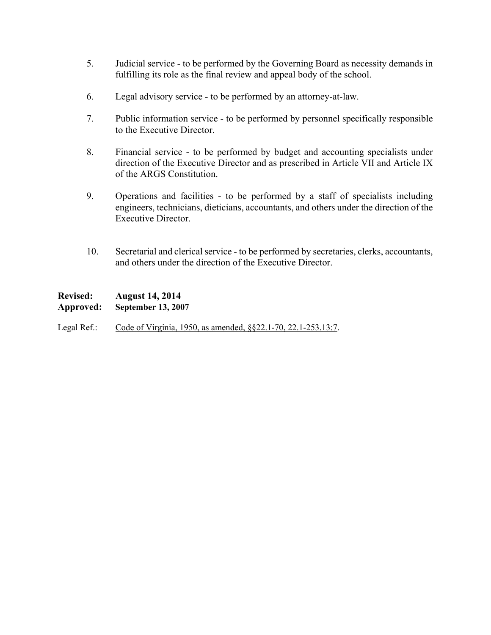- 5. Judicial service to be performed by the Governing Board as necessity demands in fulfilling its role as the final review and appeal body of the school.
- 6. Legal advisory service to be performed by an attorney-at-law.
- 7. Public information service to be performed by personnel specifically responsible to the Executive Director.
- 8. Financial service to be performed by budget and accounting specialists under direction of the Executive Director and as prescribed in Article VII and Article IX of the ARGS Constitution.
- 9. Operations and facilities to be performed by a staff of specialists including engineers, technicians, dieticians, accountants, and others under the direction of the Executive Director.
- 10. Secretarial and clerical service to be performed by secretaries, clerks, accountants, and others under the direction of the Executive Director.

**Revised: August 14, 2014 Approved: September 13, 2007** 

Legal Ref.: Code of Virginia, 1950, as amended, §§22.1-70, 22.1-253.13:7.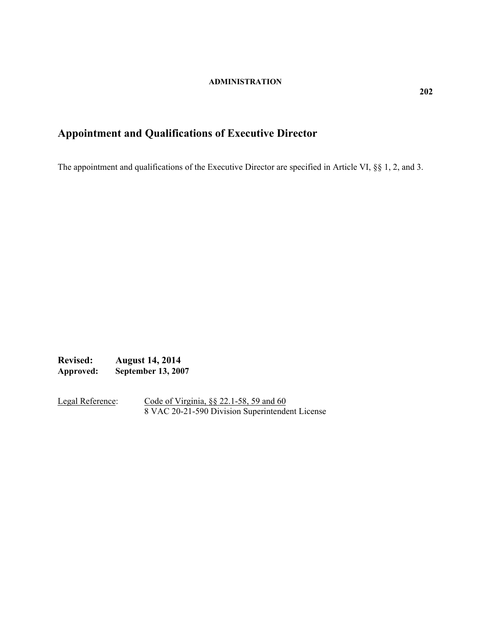# **Appointment and Qualifications of Executive Director**

The appointment and qualifications of the Executive Director are specified in Article VI, §§ 1, 2, and 3.

**Revised: August 14, 2014 Approved: September 13, 2007** 

Legal Reference: Code of Virginia, §§ 22.1-58, 59 and 60 8 VAC 20-21-590 Division Superintendent License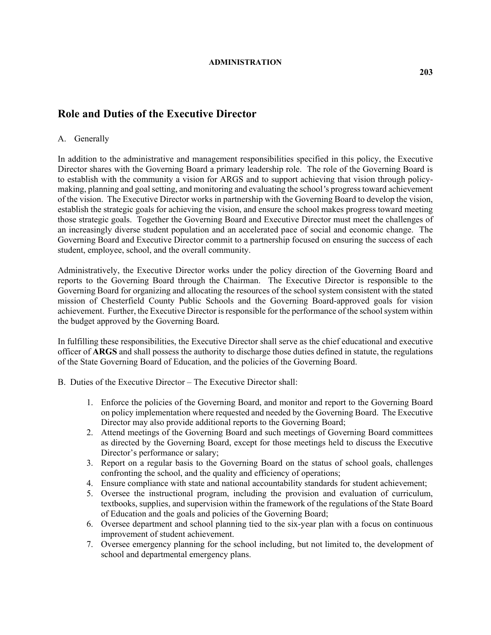## **Role and Duties of the Executive Director**

### A. Generally

In addition to the administrative and management responsibilities specified in this policy, the Executive Director shares with the Governing Board a primary leadership role. The role of the Governing Board is to establish with the community a vision for ARGS and to support achieving that vision through policymaking, planning and goal setting, and monitoring and evaluating the school*'*s progress toward achievement of the vision. The Executive Director works in partnership with the Governing Board to develop the vision, establish the strategic goals for achieving the vision, and ensure the school makes progress toward meeting those strategic goals. Together the Governing Board and Executive Director must meet the challenges of an increasingly diverse student population and an accelerated pace of social and economic change. The Governing Board and Executive Director commit to a partnership focused on ensuring the success of each student, employee, school, and the overall community.

Administratively, the Executive Director works under the policy direction of the Governing Board and reports to the Governing Board through the Chairman. The Executive Director is responsible to the Governing Board for organizing and allocating the resources of the school system consistent with the stated mission of Chesterfield County Public Schools and the Governing Board-approved goals for vision achievement. Further, the Executive Director is responsible for the performance of the school system within the budget approved by the Governing Board*.* 

In fulfilling these responsibilities, the Executive Director shall serve as the chief educational and executive officer of **ARGS** and shall possess the authority to discharge those duties defined in statute, the regulations of the State Governing Board of Education, and the policies of the Governing Board.

- B. Duties of the Executive Director The Executive Director shall:
	- 1. Enforce the policies of the Governing Board, and monitor and report to the Governing Board on policy implementation where requested and needed by the Governing Board. The Executive Director may also provide additional reports to the Governing Board;
	- 2. Attend meetings of the Governing Board and such meetings of Governing Board committees as directed by the Governing Board, except for those meetings held to discuss the Executive Director's performance or salary;
	- 3. Report on a regular basis to the Governing Board on the status of school goals, challenges confronting the school, and the quality and efficiency of operations;
	- 4. Ensure compliance with state and national accountability standards for student achievement;
	- 5. Oversee the instructional program, including the provision and evaluation of curriculum, textbooks, supplies, and supervision within the framework of the regulations of the State Board of Education and the goals and policies of the Governing Board;
	- 6. Oversee department and school planning tied to the six-year plan with a focus on continuous improvement of student achievement.
	- 7. Oversee emergency planning for the school including, but not limited to, the development of school and departmental emergency plans.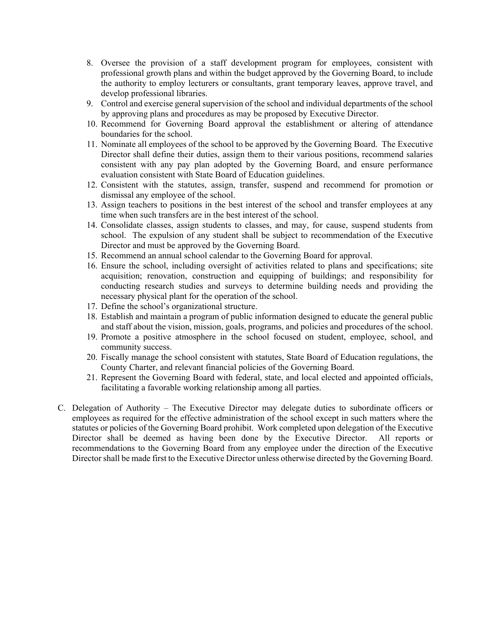- 8. Oversee the provision of a staff development program for employees, consistent with professional growth plans and within the budget approved by the Governing Board, to include the authority to employ lecturers or consultants, grant temporary leaves, approve travel, and develop professional libraries.
- 9. Control and exercise general supervision of the school and individual departments of the school by approving plans and procedures as may be proposed by Executive Director.
- 10. Recommend for Governing Board approval the establishment or altering of attendance boundaries for the school.
- 11. Nominate all employees of the school to be approved by the Governing Board. The Executive Director shall define their duties, assign them to their various positions, recommend salaries consistent with any pay plan adopted by the Governing Board, and ensure performance evaluation consistent with State Board of Education guidelines.
- 12. Consistent with the statutes, assign, transfer, suspend and recommend for promotion or dismissal any employee of the school.
- 13. Assign teachers to positions in the best interest of the school and transfer employees at any time when such transfers are in the best interest of the school.
- 14. Consolidate classes, assign students to classes, and may, for cause, suspend students from school. The expulsion of any student shall be subject to recommendation of the Executive Director and must be approved by the Governing Board.
- 15. Recommend an annual school calendar to the Governing Board for approval.
- 16. Ensure the school, including oversight of activities related to plans and specifications; site acquisition; renovation, construction and equipping of buildings; and responsibility for conducting research studies and surveys to determine building needs and providing the necessary physical plant for the operation of the school.
- 17. Define the school's organizational structure.
- 18. Establish and maintain a program of public information designed to educate the general public and staff about the vision, mission, goals, programs, and policies and procedures of the school.
- 19. Promote a positive atmosphere in the school focused on student, employee, school, and community success.
- 20. Fiscally manage the school consistent with statutes, State Board of Education regulations, the County Charter, and relevant financial policies of the Governing Board.
- 21. Represent the Governing Board with federal, state, and local elected and appointed officials, facilitating a favorable working relationship among all parties.
- C. Delegation of Authority The Executive Director may delegate duties to subordinate officers or employees as required for the effective administration of the school except in such matters where the statutes or policies of the Governing Board prohibit. Work completed upon delegation of the Executive Director shall be deemed as having been done by the Executive Director. All reports or recommendations to the Governing Board from any employee under the direction of the Executive Director shall be made first to the Executive Director unless otherwise directed by the Governing Board.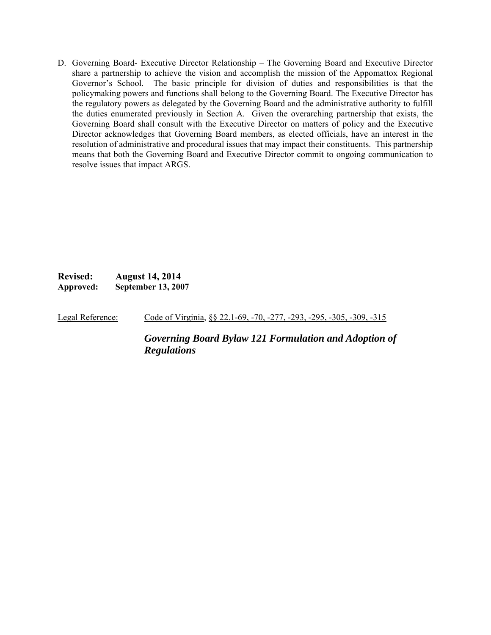D. Governing Board- Executive Director Relationship – The Governing Board and Executive Director share a partnership to achieve the vision and accomplish the mission of the Appomattox Regional Governor's School. The basic principle for division of duties and responsibilities is that the policymaking powers and functions shall belong to the Governing Board. The Executive Director has the regulatory powers as delegated by the Governing Board and the administrative authority to fulfill the duties enumerated previously in Section A. Given the overarching partnership that exists, the Governing Board shall consult with the Executive Director on matters of policy and the Executive Director acknowledges that Governing Board members, as elected officials, have an interest in the resolution of administrative and procedural issues that may impact their constituents. This partnership means that both the Governing Board and Executive Director commit to ongoing communication to resolve issues that impact ARGS.

**Revised: August 14, 2014 Approved: September 13, 2007** 

Legal Reference: Code of Virginia, §§ 22.1-69, -70, -277, -293, -295, -305, -309, -315

*Governing Board Bylaw 121 Formulation and Adoption of Regulations*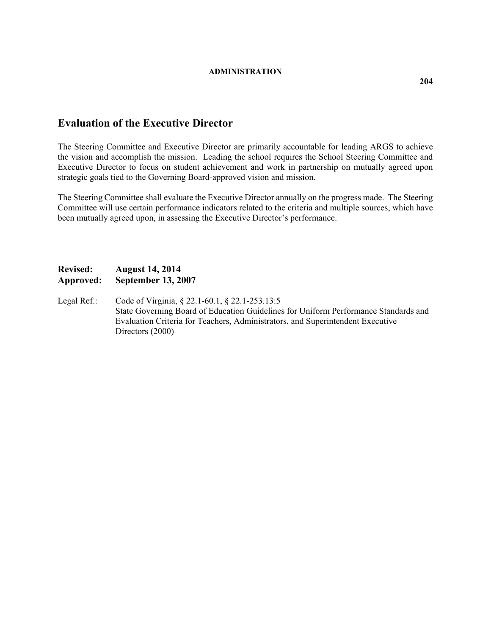## **Evaluation of the Executive Director**

The Steering Committee and Executive Director are primarily accountable for leading ARGS to achieve the vision and accomplish the mission. Leading the school requires the School Steering Committee and Executive Director to focus on student achievement and work in partnership on mutually agreed upon strategic goals tied to the Governing Board-approved vision and mission.

The Steering Committee shall evaluate the Executive Director annually on the progress made. The Steering Committee will use certain performance indicators related to the criteria and multiple sources, which have been mutually agreed upon, in assessing the Executive Director's performance.

## **Revised: August 14, 2014 Approved: September 13, 2007**

Legal Ref.: Code of Virginia, § 22.1-60.1, § 22.1-253.13:5 State Governing Board of Education Guidelines for Uniform Performance Standards and Evaluation Criteria for Teachers, Administrators, and Superintendent Executive Directors (2000)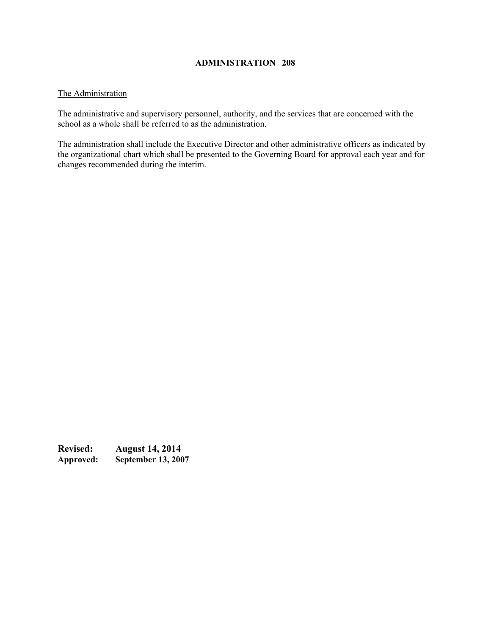#### The Administration

The administrative and supervisory personnel, authority, and the services that are concerned with the school as a whole shall be referred to as the administration.

The administration shall include the Executive Director and other administrative officers as indicated by the organizational chart which shall be presented to the Governing Board for approval each year and for changes recommended during the interim.

**Revised: August 14, 2014 Approved: September 13, 2007**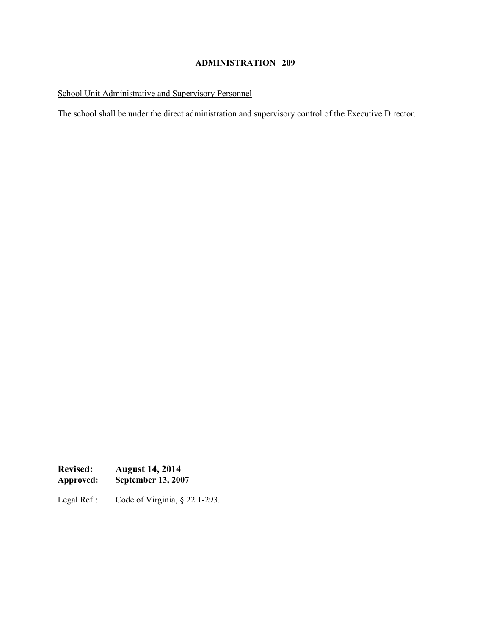## School Unit Administrative and Supervisory Personnel

The school shall be under the direct administration and supervisory control of the Executive Director.

**Revised: August 14, 2014**<br>Approved: **September 13, 200 September 13, 2007** 

Legal Ref.: Code of Virginia, § 22.1-293.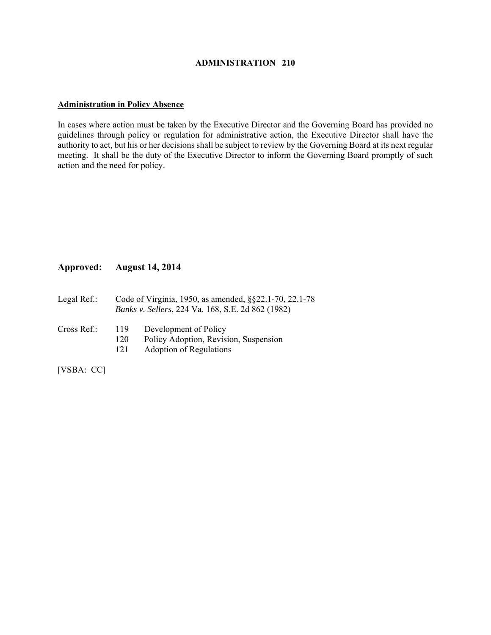#### **Administration in Policy Absence**

In cases where action must be taken by the Executive Director and the Governing Board has provided no guidelines through policy or regulation for administrative action, the Executive Director shall have the authority to act, but his or her decisions shall be subject to review by the Governing Board at its next regular meeting. It shall be the duty of the Executive Director to inform the Governing Board promptly of such action and the need for policy.

#### **Approved: August 14, 2014**

- Legal Ref.: Code of Virginia, 1950, as amended, §§22.1-70, 22.1-78 *Banks v. Sellers*, 224 Va. 168, S.E. 2d 862 (1982)
- Cross Ref.: 119 Development of Policy
	- 120 Policy Adoption, Revision, Suspension
	- 121 Adoption of Regulations

[VSBA: CC]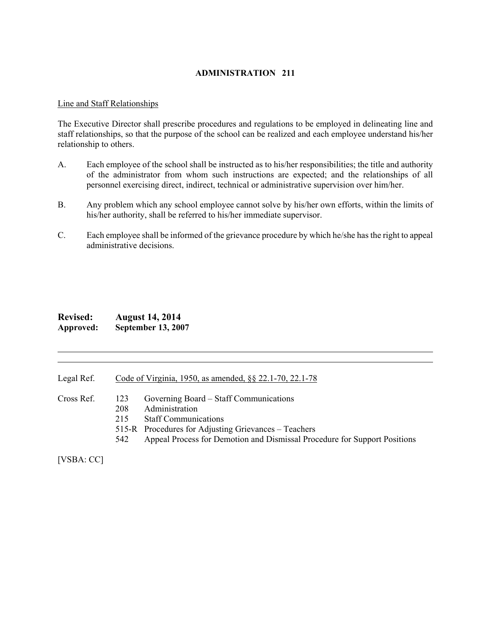#### Line and Staff Relationships

The Executive Director shall prescribe procedures and regulations to be employed in delineating line and staff relationships, so that the purpose of the school can be realized and each employee understand his/her relationship to others.

- A. Each employee of the school shall be instructed as to his/her responsibilities; the title and authority of the administrator from whom such instructions are expected; and the relationships of all personnel exercising direct, indirect, technical or administrative supervision over him/her.
- B. Any problem which any school employee cannot solve by his/her own efforts, within the limits of his/her authority, shall be referred to his/her immediate supervisor.
- C. Each employee shall be informed of the grievance procedure by which he/she has the right to appeal administrative decisions.

| <b>Revised:</b> | <b>August 14, 2014</b>    |
|-----------------|---------------------------|
| Approved:       | <b>September 13, 2007</b> |

Legal Ref. Code of Virginia, 1950, as amended, §§ 22.1-70, 22.1-78

Cross Ref. 123 Governing Board – Staff Communications

l l

- 208 Administration
- 215 Staff Communications
- 515-R Procedures for Adjusting Grievances Teachers
- 542 Appeal Process for Demotion and Dismissal Procedure for Support Positions

[VSBA: CC]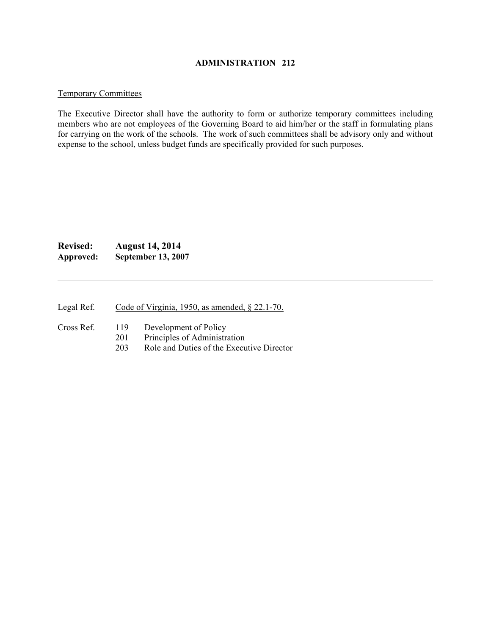#### Temporary Committees

The Executive Director shall have the authority to form or authorize temporary committees including members who are not employees of the Governing Board to aid him/her or the staff in formulating plans for carrying on the work of the schools. The work of such committees shall be advisory only and without expense to the school, unless budget funds are specifically provided for such purposes.

## **Revised: August 14, 2014 Approved: September 13, 2007**

l l

Legal Ref. Code of Virginia, 1950, as amended, § 22.1-70.

Cross Ref. 119 Development of Policy

- 201 Principles of Administration
- 203 Role and Duties of the Executive Director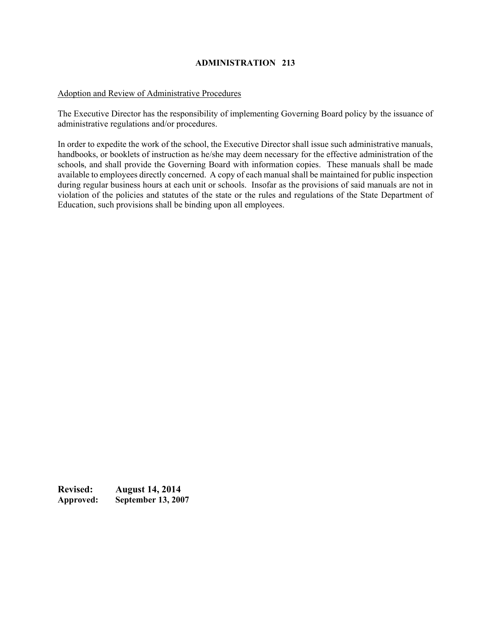#### Adoption and Review of Administrative Procedures

The Executive Director has the responsibility of implementing Governing Board policy by the issuance of administrative regulations and/or procedures.

In order to expedite the work of the school, the Executive Director shall issue such administrative manuals, handbooks, or booklets of instruction as he/she may deem necessary for the effective administration of the schools, and shall provide the Governing Board with information copies. These manuals shall be made available to employees directly concerned. A copy of each manual shall be maintained for public inspection during regular business hours at each unit or schools. Insofar as the provisions of said manuals are not in violation of the policies and statutes of the state or the rules and regulations of the State Department of Education, such provisions shall be binding upon all employees.

**Revised: August 14, 2014 Approved: September 13, 2007**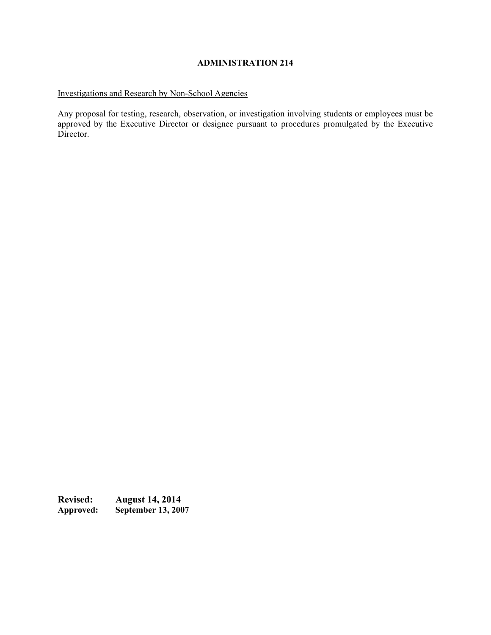## Investigations and Research by Non-School Agencies

Any proposal for testing, research, observation, or investigation involving students or employees must be approved by the Executive Director or designee pursuant to procedures promulgated by the Executive Director.

**Revised: August 14, 2014**<br>Approved: **September 13, 200 September 13, 2007**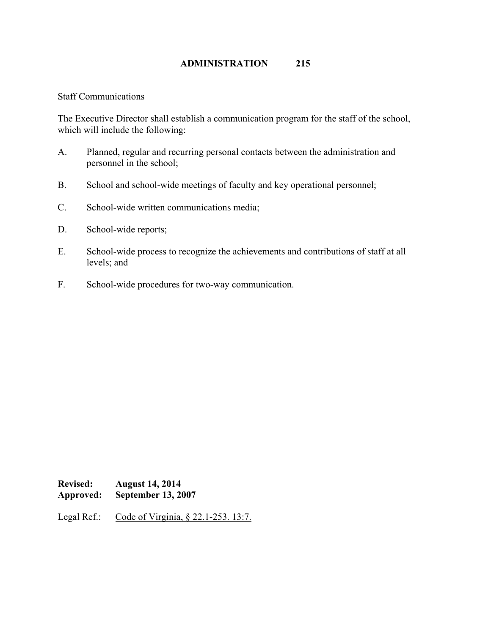## Staff Communications

The Executive Director shall establish a communication program for the staff of the school, which will include the following:

- A. Planned, regular and recurring personal contacts between the administration and personnel in the school;
- B. School and school-wide meetings of faculty and key operational personnel;
- C. School-wide written communications media;
- D. School-wide reports;
- E. School-wide process to recognize the achievements and contributions of staff at all levels; and
- F. School-wide procedures for two-way communication.

**Revised: August 14, 2014 Approved: September 13, 2007** 

Legal Ref.: Code of Virginia, § 22.1-253. 13:7.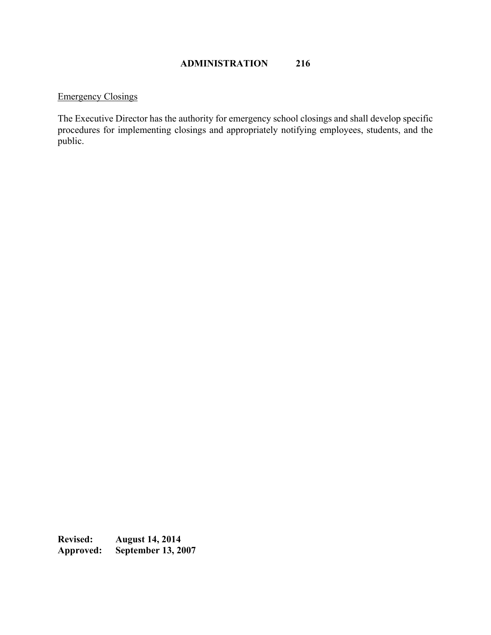## Emergency Closings

The Executive Director has the authority for emergency school closings and shall develop specific procedures for implementing closings and appropriately notifying employees, students, and the public.

Revised: August 14, 2014<br>Approved: September 13, 20 **September 13, 2007**